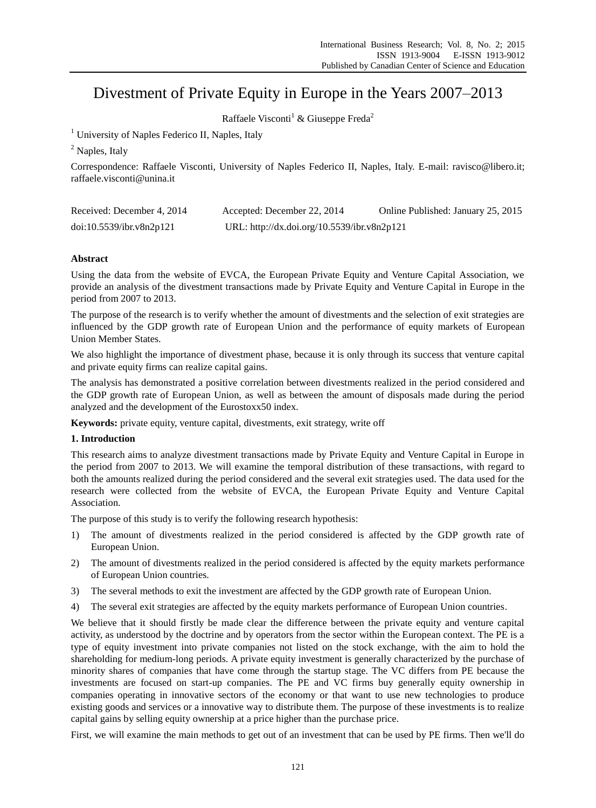# Divestment of Private Equity in Europe in the Years 2007–2013

Raffaele Visconti<sup>1</sup> & Giuseppe Freda<sup>2</sup>

<sup>1</sup> University of Naples Federico II, Naples, Italy

<sup>2</sup> Naples, Italy

Correspondence: Raffaele Visconti, University of Naples Federico II, Naples, Italy. E-mail: ravisco@libero.it; raffaele.visconti@unina.it

| Received: December 4, 2014 | Accepted: December 22, 2014                 | Online Published: January 25, 2015 |  |  |
|----------------------------|---------------------------------------------|------------------------------------|--|--|
| doi:10.5539/ibr.v8n2p121   | URL: http://dx.doi.org/10.5539/ibr.v8n2p121 |                                    |  |  |

# **Abstract**

Using the data from the website of EVCA, the European Private Equity and Venture Capital Association, we provide an analysis of the divestment transactions made by Private Equity and Venture Capital in Europe in the period from 2007 to 2013.

The purpose of the research is to verify whether the amount of divestments and the selection of exit strategies are influenced by the GDP growth rate of European Union and the performance of equity markets of European Union Member States.

We also highlight the importance of divestment phase, because it is only through its success that venture capital and private equity firms can realize capital gains.

The analysis has demonstrated a positive correlation between divestments realized in the period considered and the GDP growth rate of European Union, as well as between the amount of disposals made during the period analyzed and the development of the Eurostoxx50 index.

**Keywords:** private equity, venture capital, divestments, exit strategy, write off

# **1. Introduction**

This research aims to analyze divestment transactions made by Private Equity and Venture Capital in Europe in the period from 2007 to 2013. We will examine the temporal distribution of these transactions, with regard to both the amounts realized during the period considered and the several exit strategies used. The data used for the research were collected from the website of EVCA, the European Private Equity and Venture Capital Association.

The purpose of this study is to verify the following research hypothesis:

- 1) The amount of divestments realized in the period considered is affected by the GDP growth rate of European Union.
- 2) The amount of divestments realized in the period considered is affected by the equity markets performance of European Union countries.
- 3) The several methods to exit the investment are affected by the GDP growth rate of European Union.
- 4) The several exit strategies are affected by the equity markets performance of European Union countries.

We believe that it should firstly be made clear the difference between the private equity and venture capital activity, as understood by the doctrine and by operators from the sector within the European context. The PE is a type of equity investment into private companies not listed on the stock exchange, with the aim to hold the shareholding for medium-long periods. A private equity investment is generally characterized by the purchase of minority shares of companies that have come through the startup stage. The VC differs from PE because the investments are focused on start-up companies. The PE and VC firms buy generally equity ownership in companies operating in innovative sectors of the economy or that want to use new technologies to produce existing goods and services or a innovative way to distribute them. The purpose of these investments is to realize capital gains by selling equity ownership at a price higher than the purchase price.

First, we will examine the main methods to get out of an investment that can be used by PE firms. Then we'll do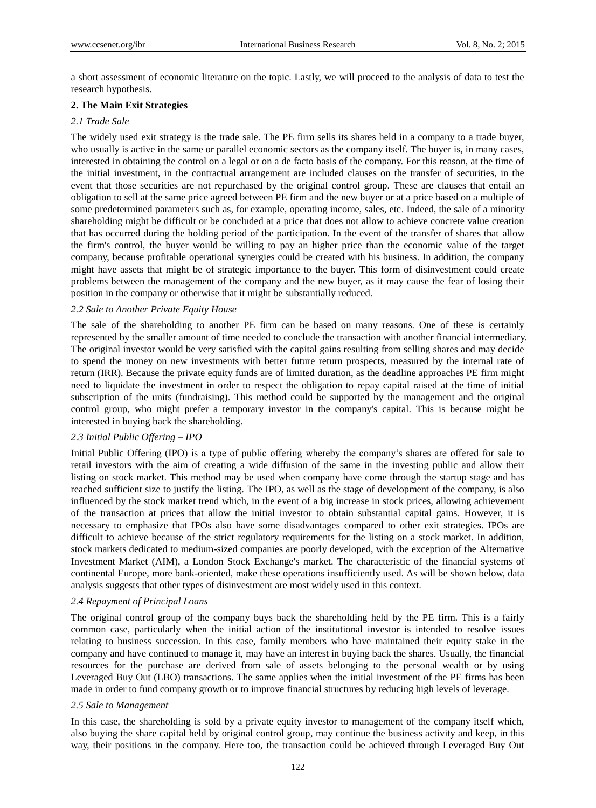a short assessment of economic literature on the topic. Lastly, we will proceed to the analysis of data to test the research hypothesis.

## **2. The Main Exit Strategies**

## *2.1 Trade Sale*

The widely used exit strategy is the trade sale. The PE firm sells its shares held in a company to a trade buyer, who usually is active in the same or parallel economic sectors as the company itself. The buyer is, in many cases, interested in obtaining the control on a legal or on a de facto basis of the company. For this reason, at the time of the initial investment, in the contractual arrangement are included clauses on the transfer of securities, in the event that those securities are not repurchased by the original control group. These are clauses that entail an obligation to sell at the same price agreed between PE firm and the new buyer or at a price based on a multiple of some predetermined parameters such as, for example, operating income, sales, etc. Indeed, the sale of a minority shareholding might be difficult or be concluded at a price that does not allow to achieve concrete value creation that has occurred during the holding period of the participation. In the event of the transfer of shares that allow the firm's control, the buyer would be willing to pay an higher price than the economic value of the target company, because profitable operational synergies could be created with his business. In addition, the company might have assets that might be of strategic importance to the buyer. This form of disinvestment could create problems between the management of the company and the new buyer, as it may cause the fear of losing their position in the company or otherwise that it might be substantially reduced.

## *2.2 Sale to Another Private Equity House*

The sale of the shareholding to another PE firm can be based on many reasons. One of these is certainly represented by the smaller amount of time needed to conclude the transaction with another financial intermediary. The original investor would be very satisfied with the capital gains resulting from selling shares and may decide to spend the money on new investments with better future return prospects, measured by the internal rate of return (IRR). Because the private equity funds are of limited duration, as the deadline approaches PE firm might need to liquidate the investment in order to respect the obligation to repay capital raised at the time of initial subscription of the units (fundraising). This method could be supported by the management and the original control group, who might prefer a temporary investor in the company's capital. This is because might be interested in buying back the shareholding.

# *2.3 Initial Public Offering – IPO*

Initial Public Offering (IPO) is a type of public offering whereby the company's shares are offered for sale to retail investors with the aim of creating a wide diffusion of the same in the investing public and allow their listing on stock market. This method may be used when company have come through the startup stage and has reached sufficient size to justify the listing. The IPO, as well as the stage of development of the company, is also influenced by the stock market trend which, in the event of a big increase in stock prices, allowing achievement of the transaction at prices that allow the initial investor to obtain substantial capital gains. However, it is necessary to emphasize that IPOs also have some disadvantages compared to other exit strategies. IPOs are difficult to achieve because of the strict regulatory requirements for the listing on a stock market. In addition, stock markets dedicated to medium-sized companies are poorly developed, with the exception of the Alternative Investment Market (AIM), a London Stock Exchange's market. The characteristic of the financial systems of continental Europe, more bank-oriented, make these operations insufficiently used. As will be shown below, data analysis suggests that other types of disinvestment are most widely used in this context.

## *2.4 Repayment of Principal Loans*

The original control group of the company buys back the shareholding held by the PE firm. This is a fairly common case, particularly when the initial action of the institutional investor is intended to resolve issues relating to business succession. In this case, family members who have maintained their equity stake in the company and have continued to manage it, may have an interest in buying back the shares. Usually, the financial resources for the purchase are derived from sale of assets belonging to the personal wealth or by using Leveraged Buy Out (LBO) transactions. The same applies when the initial investment of the PE firms has been made in order to fund company growth or to improve financial structures by reducing high levels of leverage.

#### *2.5 Sale to Management*

In this case, the shareholding is sold by a private equity investor to management of the company itself which, also buying the share capital held by original control group, may continue the business activity and keep, in this way, their positions in the company. Here too, the transaction could be achieved through Leveraged Buy Out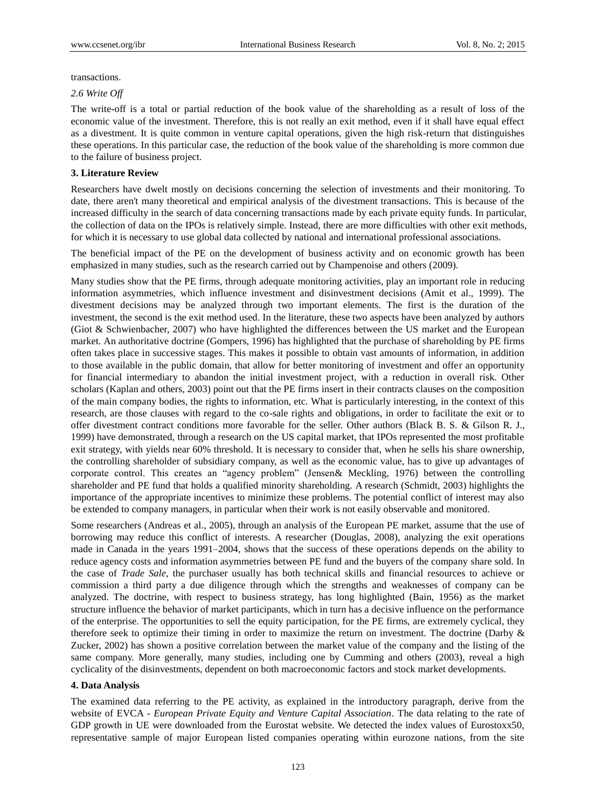transactions.

*2.6 Write Off*

The write-off is a total or partial reduction of the book value of the shareholding as a result of loss of the economic value of the investment. Therefore, this is not really an exit method, even if it shall have equal effect as a divestment. It is quite common in venture capital operations, given the high risk-return that distinguishes these operations. In this particular case, the reduction of the book value of the shareholding is more common due to the failure of business project.

# **3. Literature Review**

Researchers have dwelt mostly on decisions concerning the selection of investments and their monitoring. To date, there aren't many theoretical and empirical analysis of the divestment transactions. This is because of the increased difficulty in the search of data concerning transactions made by each private equity funds. In particular, the collection of data on the IPOs is relatively simple. Instead, there are more difficulties with other exit methods, for which it is necessary to use global data collected by national and international professional associations.

The beneficial impact of the PE on the development of business activity and on economic growth has been emphasized in many studies, such as the research carried out by Champenoise and others (2009).

Many studies show that the PE firms, through adequate monitoring activities, play an important role in reducing information asymmetries, which influence investment and disinvestment decisions (Amit et al., 1999). The divestment decisions may be analyzed through two important elements. The first is the duration of the investment, the second is the exit method used. In the literature, these two aspects have been analyzed by authors (Giot & Schwienbacher, 2007) who have highlighted the differences between the US market and the European market. An authoritative doctrine (Gompers, 1996) has highlighted that the purchase of shareholding by PE firms often takes place in successive stages. This makes it possible to obtain vast amounts of information, in addition to those available in the public domain, that allow for better monitoring of investment and offer an opportunity for financial intermediary to abandon the initial investment project, with a reduction in overall risk. Other scholars (Kaplan and others, 2003) point out that the PE firms insert in their contracts clauses on the composition of the main company bodies, the rights to information, etc. What is particularly interesting, in the context of this research, are those clauses with regard to the co-sale rights and obligations, in order to facilitate the exit or to offer divestment contract conditions more favorable for the seller. Other authors (Black B. S. & Gilson R. J., 1999) have demonstrated, through a research on the US capital market, that IPOs represented the most profitable exit strategy, with yields near 60% threshold. It is necessary to consider that, when he sells his share ownership, the controlling shareholder of subsidiary company, as well as the economic value, has to give up advantages of corporate control. This creates an "agency problem" (Jensen& Meckling, 1976) between the controlling shareholder and PE fund that holds a qualified minority shareholding. A research (Schmidt, 2003) highlights the importance of the appropriate incentives to minimize these problems. The potential conflict of interest may also be extended to company managers, in particular when their work is not easily observable and monitored.

Some researchers (Andreas et al., 2005), through an analysis of the European PE market, assume that the use of borrowing may reduce this conflict of interests. A researcher (Douglas, 2008), analyzing the exit operations made in Canada in the years 1991–2004, shows that the success of these operations depends on the ability to reduce agency costs and information asymmetries between PE fund and the buyers of the company share sold. In the case of *Trade Sale*, the purchaser usually has both technical skills and financial resources to achieve or commission a third party a due diligence through which the strengths and weaknesses of company can be analyzed. The doctrine, with respect to business strategy, has long highlighted (Bain, 1956) as the market structure influence the behavior of market participants, which in turn has a decisive influence on the performance of the enterprise. The opportunities to sell the equity participation, for the PE firms, are extremely cyclical, they therefore seek to optimize their timing in order to maximize the return on investment. The doctrine (Darby & Zucker, 2002) has shown a positive correlation between the market value of the company and the listing of the same company. More generally, many studies, including one by Cumming and others (2003), reveal a high cyclicality of the disinvestments, dependent on both macroeconomic factors and stock market developments.

# **4. Data Analysis**

The examined data referring to the PE activity, as explained in the introductory paragraph, derive from the website of EVCA - *European Private Equity and Venture Capital Association*. The data relating to the rate of GDP growth in UE were downloaded from the Eurostat website. We detected the index values of Eurostoxx50, representative sample of major European listed companies operating within eurozone nations, from the site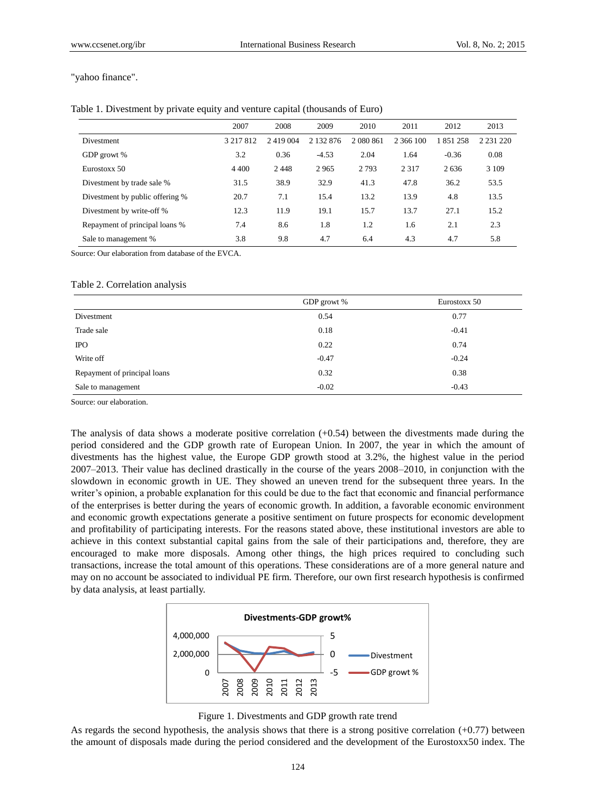"yahoo finance".

| Table 1. Divestment by private equity and venture capital (thousands of Euro) |  |  |  |  |
|-------------------------------------------------------------------------------|--|--|--|--|
|                                                                               |  |  |  |  |

|                                 | 2007      | 2008    | 2009      | 2010      | 2011      | 2012      | 2013          |
|---------------------------------|-----------|---------|-----------|-----------|-----------|-----------|---------------|
| Divestment                      | 3 217 812 | 2419004 | 2 132 876 | 2 080 861 | 2 366 100 | 1 851 258 | 2 2 3 1 2 2 0 |
| GDP growt %                     | 3.2       | 0.36    | $-4.53$   | 2.04      | 1.64      | $-0.36$   | 0.08          |
| Eurostoxx 50                    | 4 4 0 0   | 2448    | 2965      | 2 7 9 3   | 2 3 1 7   | 2636      | 3 1 0 9       |
| Divestment by trade sale %      | 31.5      | 38.9    | 32.9      | 41.3      | 47.8      | 36.2      | 53.5          |
| Divestment by public offering % | 20.7      | 7.1     | 15.4      | 13.2      | 13.9      | 4.8       | 13.5          |
| Divestment by write-off %       | 12.3      | 11.9    | 19.1      | 15.7      | 13.7      | 27.1      | 15.2          |
| Repayment of principal loans %  | 7.4       | 8.6     | 1.8       | 1.2       | 1.6       | 2.1       | 2.3           |
| Sale to management %            | 3.8       | 9.8     | 4.7       | 6.4       | 4.3       | 4.7       | 5.8           |

Source: Our elaboration from database of the EVCA.

## Table 2. Correlation analysis

|                              | GDP growt % | Eurostoxx 50 |
|------------------------------|-------------|--------------|
| Divestment                   | 0.54        | 0.77         |
| Trade sale                   | 0.18        | $-0.41$      |
| <b>IPO</b>                   | 0.22        | 0.74         |
| Write off                    | $-0.47$     | $-0.24$      |
| Repayment of principal loans | 0.32        | 0.38         |
| Sale to management           | $-0.02$     | $-0.43$      |

Source: our elaboration.

The analysis of data shows a moderate positive correlation  $(+0.54)$  between the divestments made during the period considered and the GDP growth rate of European Union. In 2007, the year in which the amount of divestments has the highest value, the Europe GDP growth stood at 3.2%, the highest value in the period 2007–2013. Their value has declined drastically in the course of the years 2008–2010, in conjunction with the slowdown in economic growth in UE. They showed an uneven trend for the subsequent three years. In the writer's opinion, a probable explanation for this could be due to the fact that economic and financial performance of the enterprises is better during the years of economic growth. In addition, a favorable economic environment and economic growth expectations generate a positive sentiment on future prospects for economic development and profitability of participating interests. For the reasons stated above, these institutional investors are able to achieve in this context substantial capital gains from the sale of their participations and, therefore, they are encouraged to make more disposals. Among other things, the high prices required to concluding such transactions, increase the total amount of this operations. These considerations are of a more general nature and may on no account be associated to individual PE firm. Therefore, our own first research hypothesis is confirmed by data analysis, at least partially.





As regards the second hypothesis, the analysis shows that there is a strong positive correlation  $(+0.77)$  between the amount of disposals made during the period considered and the development of the Eurostoxx50 index. The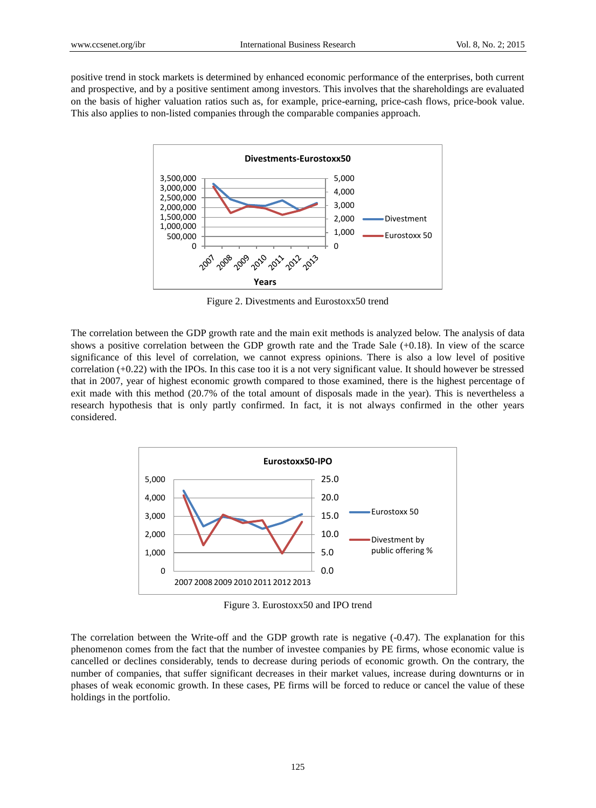positive trend in stock markets is determined by enhanced economic performance of the enterprises, both current and prospective, and by a positive sentiment among investors. This involves that the shareholdings are evaluated on the basis of higher valuation ratios such as, for example, price-earning, price-cash flows, price-book value. This also applies to non-listed companies through the comparable companies approach.



Figure 2. Divestments and Eurostoxx50 trend

The correlation between the GDP growth rate and the main exit methods is analyzed below. The analysis of data shows a positive correlation between the GDP growth rate and the Trade Sale (+0.18). In view of the scarce significance of this level of correlation, we cannot express opinions. There is also a low level of positive correlation  $(+0.22)$  with the IPOs. In this case too it is a not very significant value. It should however be stressed that in 2007, year of highest economic growth compared to those examined, there is the highest percentage of exit made with this method (20.7% of the total amount of disposals made in the year). This is nevertheless a research hypothesis that is only partly confirmed. In fact, it is not always confirmed in the other years considered.



Figure 3. Eurostoxx50 and IPO trend

The correlation between the Write-off and the GDP growth rate is negative (-0.47). The explanation for this phenomenon comes from the fact that the number of investee companies by PE firms, whose economic value is cancelled or declines considerably, tends to decrease during periods of economic growth. On the contrary, the number of companies, that suffer significant decreases in their market values, increase during downturns or in phases of weak economic growth. In these cases, PE firms will be forced to reduce or cancel the value of these holdings in the portfolio.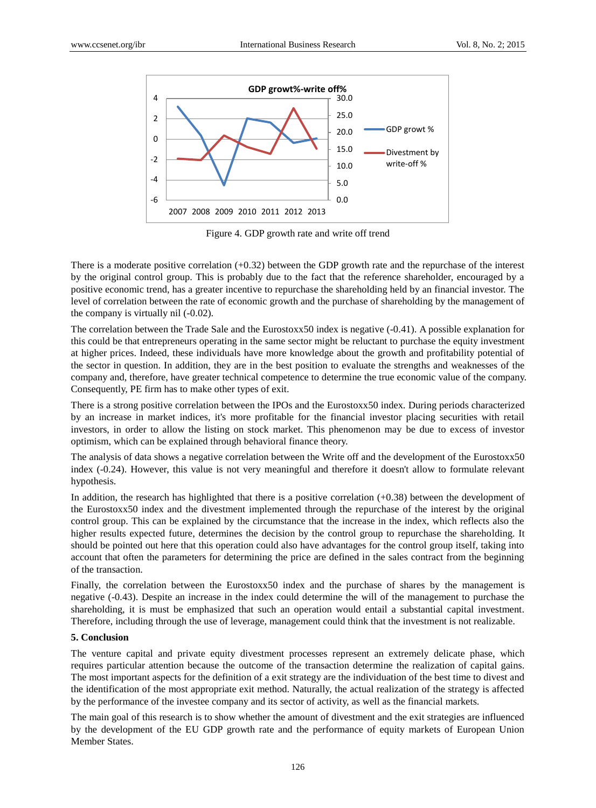

Figure 4. GDP growth rate and write off trend

There is a moderate positive correlation (+0.32) between the GDP growth rate and the repurchase of the interest by the original control group. This is probably due to the fact that the reference shareholder, encouraged by a positive economic trend, has a greater incentive to repurchase the shareholding held by an financial investor. The level of correlation between the rate of economic growth and the purchase of shareholding by the management of the company is virtually nil (-0.02).

The correlation between the Trade Sale and the Eurostoxx50 index is negative (-0.41). A possible explanation for this could be that entrepreneurs operating in the same sector might be reluctant to purchase the equity investment at higher prices. Indeed, these individuals have more knowledge about the growth and profitability potential of the sector in question. In addition, they are in the best position to evaluate the strengths and weaknesses of the company and, therefore, have greater technical competence to determine the true economic value of the company. Consequently, PE firm has to make other types of exit.

There is a strong positive correlation between the IPOs and the Eurostoxx50 index. During periods characterized by an increase in market indices, it's more profitable for the financial investor placing securities with retail investors, in order to allow the listing on stock market. This phenomenon may be due to excess of investor optimism, which can be explained through behavioral finance theory.

The analysis of data shows a negative correlation between the Write off and the development of the Eurostoxx50 index (-0.24). However, this value is not very meaningful and therefore it doesn't allow to formulate relevant hypothesis.

In addition, the research has highlighted that there is a positive correlation (+0.38) between the development of the Eurostoxx50 index and the divestment implemented through the repurchase of the interest by the original control group. This can be explained by the circumstance that the increase in the index, which reflects also the higher results expected future, determines the decision by the control group to repurchase the shareholding. It should be pointed out here that this operation could also have advantages for the control group itself, taking into account that often the parameters for determining the price are defined in the sales contract from the beginning of the transaction.

Finally, the correlation between the Eurostoxx50 index and the purchase of shares by the management is negative (-0.43). Despite an increase in the index could determine the will of the management to purchase the shareholding, it is must be emphasized that such an operation would entail a substantial capital investment. Therefore, including through the use of leverage, management could think that the investment is not realizable.

## **5. Conclusion**

The venture capital and private equity divestment processes represent an extremely delicate phase, which requires particular attention because the outcome of the transaction determine the realization of capital gains. The most important aspects for the definition of a exit strategy are the individuation of the best time to divest and the identification of the most appropriate exit method. Naturally, the actual realization of the strategy is affected by the performance of the investee company and its sector of activity, as well as the financial markets.

The main goal of this research is to show whether the amount of divestment and the exit strategies are influenced by the development of the EU GDP growth rate and the performance of equity markets of European Union Member States.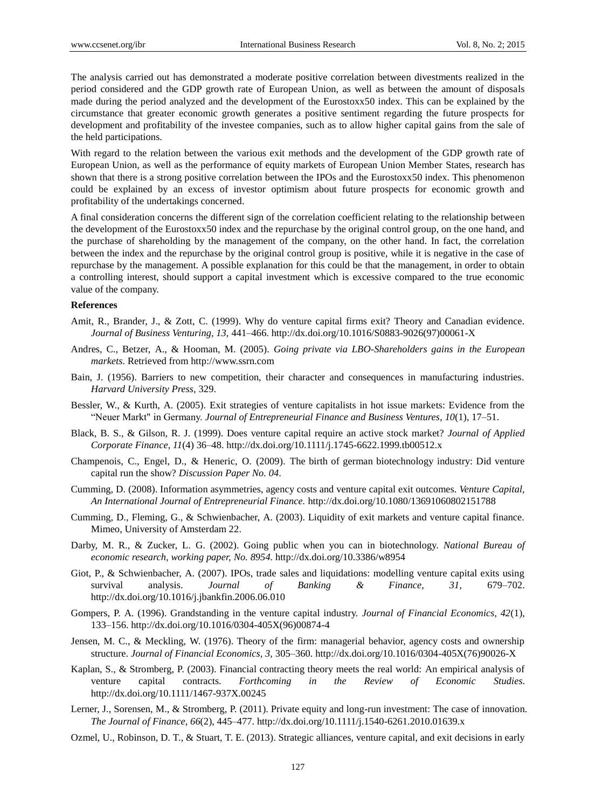The analysis carried out has demonstrated a moderate positive correlation between divestments realized in the period considered and the GDP growth rate of European Union, as well as between the amount of disposals made during the period analyzed and the development of the Eurostoxx50 index. This can be explained by the circumstance that greater economic growth generates a positive sentiment regarding the future prospects for development and profitability of the investee companies, such as to allow higher capital gains from the sale of the held participations.

With regard to the relation between the various exit methods and the development of the GDP growth rate of European Union, as well as the performance of equity markets of European Union Member States, research has shown that there is a strong positive correlation between the IPOs and the Eurostoxx50 index. This phenomenon could be explained by an excess of investor optimism about future prospects for economic growth and profitability of the undertakings concerned.

A final consideration concerns the different sign of the correlation coefficient relating to the relationship between the development of the Eurostoxx50 index and the repurchase by the original control group, on the one hand, and the purchase of shareholding by the management of the company, on the other hand. In fact, the correlation between the index and the repurchase by the original control group is positive, while it is negative in the case of repurchase by the management. A possible explanation for this could be that the management, in order to obtain a controlling interest, should support a capital investment which is excessive compared to the true economic value of the company.

## **References**

- Amit, R., Brander, J., & Zott, C. (1999). Why do venture capital firms exit? Theory and Canadian evidence. *Journal of Business Venturing, 13,* 441–466. http://dx.doi.org/10.1016/S0883-9026(97)00061-X
- Andres, C., Betzer, A., & Hooman, M. (2005). *Going private via LBO-Shareholders gains in the European markets*. Retrieved from http://www.ssrn.com
- Bain, J. (1956). Barriers to new competition, their character and consequences in manufacturing industries. *Harvard University Press,* 329.
- Bessler, W., & Kurth, A. (2005). Exit strategies of venture capitalists in hot issue markets: Evidence from the "Neuer Markt" in Germany. *Journal of Entrepreneurial Finance and Business Ventures*, *10*(1), 17–51.
- Black, B. S., & Gilson, R. J. (1999). Does venture capital require an active stock market? *Journal of Applied Corporate Finance, 11*(4) 36–48. http://dx.doi.org/10.1111/j.1745-6622.1999.tb00512.x
- Champenois, C., Engel, D., & Heneric, O. (2009). The birth of german biotechnology industry: Did venture capital run the show? *Discussion Paper No. 04.*
- Cumming, D. (2008). Information asymmetries, agency costs and venture capital exit outcomes. *Venture Capital, An International Journal of Entrepreneurial Finance.* http://dx.doi.org/10.1080/13691060802151788
- Cumming, D., Fleming, G., & Schwienbacher, A. (2003). Liquidity of exit markets and venture capital finance. Mimeo, University of Amsterdam 22.
- Darby, M. R., & Zucker, L. G. (2002). Going public when you can in biotechnology. *National Bureau of economic research, working paper, No. 8954.* http://dx.doi.org/10.3386/w8954
- Giot, P., & Schwienbacher, A. (2007). IPOs, trade sales and liquidations: modelling venture capital exits using survival analysis. *Journal of Banking & Finance, 31,* 679–702. http://dx.doi.org/10.1016/j.jbankfin.2006.06.010
- Gompers, P. A. (1996). Grandstanding in the venture capital industry. *Journal of Financial Economics, 42*(1), 133–156. http://dx.doi.org/10.1016/0304-405X(96)00874-4
- Jensen, M. C., & Meckling, W. (1976). Theory of the firm: managerial behavior, agency costs and ownership structure. *Journal of Financial Economics, 3,* 305–360. http://dx.doi.org/10.1016/0304-405X(76)90026-X
- Kaplan, S., & Stromberg, P. (2003). Financial contracting theory meets the real world: An empirical analysis of venture capital contracts. *Forthcoming in the Review of Economic Studies*. http://dx.doi.org/10.1111/1467-937X.00245
- Lerner, J., Sorensen, M., & Stromberg, P. (2011). Private equity and long-run investment: The case of innovation. *The Journal of Finance, 66*(2), 445–477. http://dx.doi.org/10.1111/j.1540-6261.2010.01639.x
- Ozmel, U., Robinson, D. T., & Stuart, T. E. (2013). Strategic alliances, venture capital, and exit decisions in early